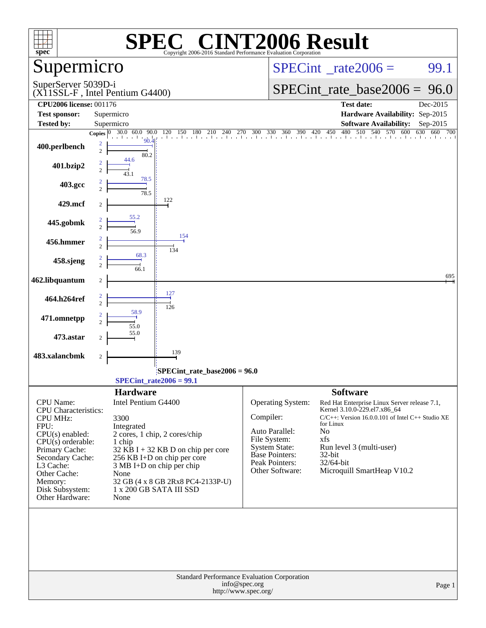| $spec^*$                                               |                     |                                     | $\mathbf{P}^{\mathbf{R}}$<br>Copyright 2006-2016 Standard Performance Evaluation Corporation | <b>NT2006 Result</b>                                         |                                                                                           |          |
|--------------------------------------------------------|---------------------|-------------------------------------|----------------------------------------------------------------------------------------------|--------------------------------------------------------------|-------------------------------------------------------------------------------------------|----------|
| Supermicro                                             |                     |                                     |                                                                                              |                                                              | $SPECint^{\circ}$ rate 2006 =                                                             | 99.1     |
| SuperServer 5039D-i<br>(X11SSL-F, Intel Pentium G4400) |                     |                                     |                                                                                              |                                                              | $SPECint_rate_base2006 = 96.0$                                                            |          |
| <b>CPU2006</b> license: 001176                         |                     |                                     |                                                                                              |                                                              | <b>Test date:</b>                                                                         | Dec-2015 |
| <b>Test sponsor:</b>                                   |                     | Supermicro                          |                                                                                              |                                                              | Hardware Availability: Sep-2015                                                           |          |
| <b>Tested by:</b>                                      |                     | Supermicro                          |                                                                                              |                                                              | <b>Software Availability:</b>                                                             | Sep-2015 |
|                                                        | Copies $\boxed{0}$  |                                     |                                                                                              |                                                              | 30.0 60.0 90.0 120 150 180 210 240 270 300 330 360 390 420 450 480 510 540 570 600 630 66 | 660 700  |
| 400.perlbench                                          | 2<br>$\overline{c}$ | 80.2                                |                                                                                              |                                                              |                                                                                           |          |
| 401.bzip2                                              | $\overline{2}$      | 44.6                                |                                                                                              |                                                              |                                                                                           |          |
| 403.gcc                                                |                     | 78.5<br>78.5                        |                                                                                              |                                                              |                                                                                           |          |
| 429.mcf                                                | 2                   |                                     | 122                                                                                          |                                                              |                                                                                           |          |
| 445.gobmk                                              | $\overline{c}$      | 55.2<br>56.9                        |                                                                                              |                                                              |                                                                                           |          |
| 456.hmmer                                              | $\overline{2}$      |                                     | 154<br>134                                                                                   |                                                              |                                                                                           |          |
| 458.sjeng                                              |                     | 68.3<br>66.1                        |                                                                                              |                                                              |                                                                                           |          |
| 462.libquantum                                         | $\boldsymbol{2}$    |                                     |                                                                                              |                                                              |                                                                                           | 695      |
| 464.h264ref                                            | $\overline{2}$      |                                     | 127<br>126                                                                                   |                                                              |                                                                                           |          |
| 471.omnetpp                                            | $\overline{c}$      | 58.9<br>55.0                        |                                                                                              |                                                              |                                                                                           |          |
| 473.astar                                              | 2                   | 55.0                                |                                                                                              |                                                              |                                                                                           |          |
| 483.xalancbmk                                          | $\overline{c}$      |                                     | 139                                                                                          |                                                              |                                                                                           |          |
|                                                        |                     | $SPECint_rate2006 = 99.1$           | SPECint rate base $2006 = 96.0$                                                              |                                                              |                                                                                           |          |
|                                                        |                     | <b>Hardware</b>                     |                                                                                              |                                                              | <b>Software</b>                                                                           |          |
| CPU Name:                                              |                     | Intel Pentium G4400                 |                                                                                              | <b>Operating System:</b>                                     | Red Hat Enterprise Linux Server release 7.1,                                              |          |
| <b>CPU</b> Characteristics:<br><b>CPU MHz:</b>         |                     | 3300                                |                                                                                              | Compiler:                                                    | Kernel 3.10.0-229.el7.x86_64<br>$C/C++$ : Version 16.0.0.101 of Intel $C++$ Studio XE     |          |
| FPU:                                                   |                     | Integrated                          |                                                                                              |                                                              | for Linux                                                                                 |          |
| CPU(s) enabled:                                        |                     |                                     | 2 cores, 1 chip, 2 cores/chip                                                                | Auto Parallel:<br>File System:                               | No<br>xfs                                                                                 |          |
| $CPU(s)$ orderable:<br>Primary Cache:                  |                     | 1 chip                              | $32$ KB I + 32 KB D on chip per core                                                         | <b>System State:</b>                                         | Run level 3 (multi-user)                                                                  |          |
| Secondary Cache:                                       |                     |                                     | 256 KB I+D on chip per core                                                                  | <b>Base Pointers:</b>                                        | 32-bit                                                                                    |          |
| L3 Cache:                                              |                     | $3 \text{ MB I+D}$ on chip per chip |                                                                                              | Peak Pointers:<br>Other Software:                            | 32/64-bit<br>Microquill SmartHeap V10.2                                                   |          |
| Other Cache:<br>Memory:                                |                     | None                                | 32 GB (4 x 8 GB 2Rx8 PC4-2133P-U)                                                            |                                                              |                                                                                           |          |
| Disk Subsystem:                                        |                     | 1 x 200 GB SATA III SSD             |                                                                                              |                                                              |                                                                                           |          |
| Other Hardware:                                        |                     | None                                |                                                                                              |                                                              |                                                                                           |          |
|                                                        |                     |                                     |                                                                                              |                                                              |                                                                                           |          |
|                                                        |                     |                                     |                                                                                              | Standard Performance Evaluation Corporation<br>info@spec.org |                                                                                           |          |
|                                                        |                     |                                     |                                                                                              | http://www.spec.org/                                         |                                                                                           | Page 1   |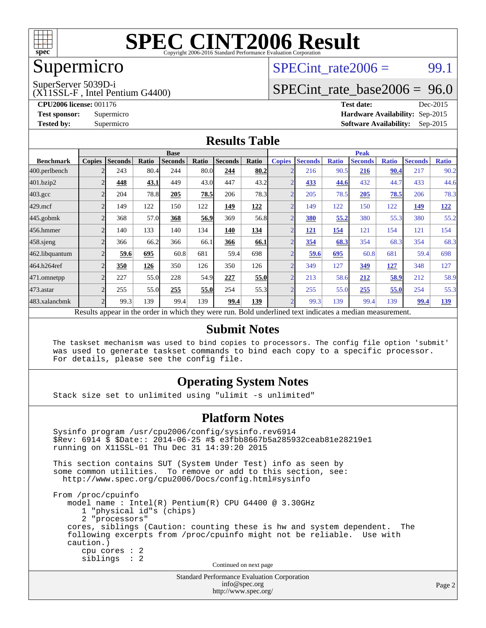

### Supermicro

### $SPECTnt_rate2006 = 99.1$

SuperServer 5039D-i

(X11SSL-F , Intel Pentium G4400)

[SPECint\\_rate\\_base2006 =](http://www.spec.org/auto/cpu2006/Docs/result-fields.html#SPECintratebase2006) 96.0

**[CPU2006 license:](http://www.spec.org/auto/cpu2006/Docs/result-fields.html#CPU2006license)** 001176 **[Test date:](http://www.spec.org/auto/cpu2006/Docs/result-fields.html#Testdate)** Dec-2015 **[Test sponsor:](http://www.spec.org/auto/cpu2006/Docs/result-fields.html#Testsponsor)** Supermicro **[Hardware Availability:](http://www.spec.org/auto/cpu2006/Docs/result-fields.html#HardwareAvailability)** Sep-2015 **[Tested by:](http://www.spec.org/auto/cpu2006/Docs/result-fields.html#Testedby)** Supermicro **Supermicro [Software Availability:](http://www.spec.org/auto/cpu2006/Docs/result-fields.html#SoftwareAvailability)** Sep-2015

#### **[Results Table](http://www.spec.org/auto/cpu2006/Docs/result-fields.html#ResultsTable)**

|                                                                                                          | <b>Base</b>    |                |       |                |       |                | <b>Peak</b> |                |                |              |                |              |                |              |
|----------------------------------------------------------------------------------------------------------|----------------|----------------|-------|----------------|-------|----------------|-------------|----------------|----------------|--------------|----------------|--------------|----------------|--------------|
| <b>Benchmark</b>                                                                                         | <b>Copies</b>  | <b>Seconds</b> | Ratio | <b>Seconds</b> | Ratio | <b>Seconds</b> | Ratio       | <b>Copies</b>  | <b>Seconds</b> | <b>Ratio</b> | <b>Seconds</b> | <b>Ratio</b> | <b>Seconds</b> | <b>Ratio</b> |
| 400.perlbench                                                                                            |                | 243            | 80.4  | 244            | 80.0  | 244            | 80.2        |                | 216            | 90.5         | 216            | 90.4         | 217            | 90.2         |
| 401.bzip2                                                                                                |                | 448            | 43.1  | 449            | 43.0  | 447            | 43.2        |                | 433            | 44.6         | 432            | 44.7         | 433            | 44.6         |
| $403.\mathrm{gcc}$                                                                                       |                | 204            | 78.8  | 205            | 78.5  | 206            | 78.3        |                | 205            | 78.5         | 205            | 78.5         | 206            | 78.3         |
| $429$ .mcf                                                                                               | $\overline{c}$ | 149            | 122   | 150            | 122   | 149            | 122         | C              | 149            | 122          | 150            | 122          | 149            | 122          |
| $445$ .gobm $k$                                                                                          |                | 368            | 57.0  | 368            | 56.9  | 369            | 56.8        |                | <b>380</b>     | 55.2         | 380            | 55.3         | 380            | 55.2         |
| 456.hmmer                                                                                                |                | 140            | 133   | 140            | 134   | 140            | 134         |                | <u> 121</u>    | 154          | 121            | 154          | 121            | 154          |
| $458$ .sjeng                                                                                             |                | 366            | 66.2  | 366            | 66.1  | 366            | 66.1        | $\overline{2}$ | 354            | 68.3         | 354            | 68.3         | 354            | 68.3         |
| 462.libquantum                                                                                           |                | 59.6           | 695   | 60.8           | 681   | 59.4           | 698         |                | 59.6           | 695          | 60.8           | 681          | 59.4           | 698          |
| 464.h264ref                                                                                              |                | 350            | 126   | 350            | 126   | 350            | 126         |                | 349            | 127          | 349            | <u> 127</u>  | 348            | 127          |
| 471.omnetpp                                                                                              |                | 227            | 55.0  | 228            | 54.9  | 227            | 55.0        |                | 213            | 58.6         | 212            | 58.9         | 212            | 58.9         |
| 473.astar                                                                                                | C              | 255            | 55.0  | 255            | 55.0  | 254            | 55.3        | ◠              | 255            | 55.0         | 255            | 55.0         | 254            | 55.3         |
| 483.xalancbmk                                                                                            |                | 99.3           | 139   | 99.4           | 139   | 99.4           | 139         |                | 99.3           | 139          | 99.4           | 139          | 99.4           | 139          |
| Results appear in the order in which they were run. Bold underlined text indicates a median measurement. |                |                |       |                |       |                |             |                |                |              |                |              |                |              |

#### **[Submit Notes](http://www.spec.org/auto/cpu2006/Docs/result-fields.html#SubmitNotes)**

 The taskset mechanism was used to bind copies to processors. The config file option 'submit' was used to generate taskset commands to bind each copy to a specific processor. For details, please see the config file.

#### **[Operating System Notes](http://www.spec.org/auto/cpu2006/Docs/result-fields.html#OperatingSystemNotes)**

Stack size set to unlimited using "ulimit -s unlimited"

#### **[Platform Notes](http://www.spec.org/auto/cpu2006/Docs/result-fields.html#PlatformNotes)**

Standard Performance Evaluation Corporation Sysinfo program /usr/cpu2006/config/sysinfo.rev6914 \$Rev: 6914 \$ \$Date:: 2014-06-25 #\$ e3fbb8667b5a285932ceab81e28219e1 running on X11SSL-01 Thu Dec 31 14:39:20 2015 This section contains SUT (System Under Test) info as seen by some common utilities. To remove or add to this section, see: <http://www.spec.org/cpu2006/Docs/config.html#sysinfo> From /proc/cpuinfo model name : Intel(R) Pentium(R) CPU G4400 @ 3.30GHz 1 "physical id"s (chips) 2 "processors" cores, siblings (Caution: counting these is hw and system dependent. The following excerpts from /proc/cpuinfo might not be reliable. Use with caution.) cpu cores : 2 siblings : 2 Continued on next page

[info@spec.org](mailto:info@spec.org) <http://www.spec.org/>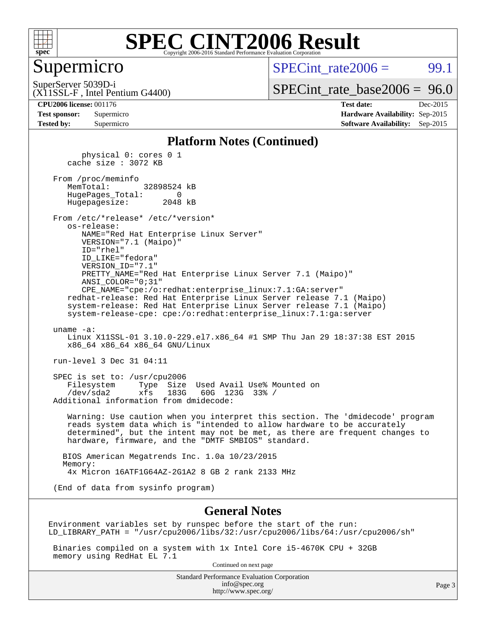

#### Supermicro

 $SPECint rate2006 = 99.1$ 

SuperServer 5039D-i

[SPECint\\_rate\\_base2006 =](http://www.spec.org/auto/cpu2006/Docs/result-fields.html#SPECintratebase2006) 96.0

(X11SSL-F , Intel Pentium G4400)

**[CPU2006 license:](http://www.spec.org/auto/cpu2006/Docs/result-fields.html#CPU2006license)** 001176 **[Test date:](http://www.spec.org/auto/cpu2006/Docs/result-fields.html#Testdate)** Dec-2015 **[Test sponsor:](http://www.spec.org/auto/cpu2006/Docs/result-fields.html#Testsponsor)** Supermicro **[Hardware Availability:](http://www.spec.org/auto/cpu2006/Docs/result-fields.html#HardwareAvailability)** Sep-2015 **[Tested by:](http://www.spec.org/auto/cpu2006/Docs/result-fields.html#Testedby)** Supermicro **Supermicro [Software Availability:](http://www.spec.org/auto/cpu2006/Docs/result-fields.html#SoftwareAvailability)** Sep-2015

#### **[Platform Notes \(Continued\)](http://www.spec.org/auto/cpu2006/Docs/result-fields.html#PlatformNotes)**

 physical 0: cores 0 1 cache size : 3072 KB From /proc/meminfo MemTotal: 32898524 kB HugePages\_Total: 0 Hugepagesize: 2048 kB From /etc/\*release\* /etc/\*version\* os-release: NAME="Red Hat Enterprise Linux Server" VERSION="7.1 (Maipo)" ID="rhel" ID\_LIKE="fedora" VERSION\_ID="7.1" PRETTY\_NAME="Red Hat Enterprise Linux Server 7.1 (Maipo)" ANSI\_COLOR="0;31" CPE\_NAME="cpe:/o:redhat:enterprise\_linux:7.1:GA:server" redhat-release: Red Hat Enterprise Linux Server release 7.1 (Maipo) system-release: Red Hat Enterprise Linux Server release 7.1 (Maipo) system-release-cpe: cpe:/o:redhat:enterprise\_linux:7.1:ga:server uname -a: Linux X11SSL-01 3.10.0-229.el7.x86\_64 #1 SMP Thu Jan 29 18:37:38 EST 2015 x86\_64 x86\_64 x86\_64 GNU/Linux run-level 3 Dec 31 04:11 SPEC is set to: /usr/cpu2006 Filesystem Type Size Used Avail Use% Mounted on /dev/sda2 xfs 183G 60G 123G 33% / Additional information from dmidecode: Warning: Use caution when you interpret this section. The 'dmidecode' program reads system data which is "intended to allow hardware to be accurately determined", but the intent may not be met, as there are frequent changes to hardware, firmware, and the "DMTF SMBIOS" standard. BIOS American Megatrends Inc. 1.0a 10/23/2015 Memory: 4x Micron 16ATF1G64AZ-2G1A2 8 GB 2 rank 2133 MHz (End of data from sysinfo program)

#### **[General Notes](http://www.spec.org/auto/cpu2006/Docs/result-fields.html#GeneralNotes)**

Environment variables set by runspec before the start of the run: LD\_LIBRARY\_PATH = "/usr/cpu2006/libs/32:/usr/cpu2006/libs/64:/usr/cpu2006/sh"

 Binaries compiled on a system with 1x Intel Core i5-4670K CPU + 32GB memory using RedHat EL 7.1

Continued on next page

Standard Performance Evaluation Corporation [info@spec.org](mailto:info@spec.org) <http://www.spec.org/>

Page 3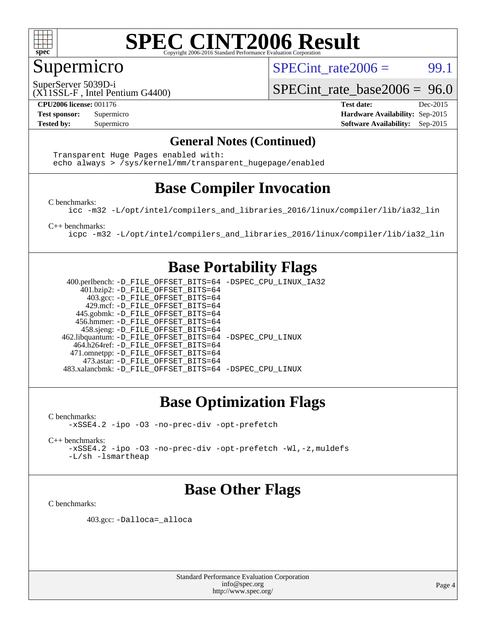

#### Supermicro

SPECint rate $2006 = 99.1$ 

SuperServer 5039D-i

(X11SSL-F , Intel Pentium G4400)

**[CPU2006 license:](http://www.spec.org/auto/cpu2006/Docs/result-fields.html#CPU2006license)** 001176 **[Test date:](http://www.spec.org/auto/cpu2006/Docs/result-fields.html#Testdate)** Dec-2015

[SPECint\\_rate\\_base2006 =](http://www.spec.org/auto/cpu2006/Docs/result-fields.html#SPECintratebase2006) 96.0

**[Test sponsor:](http://www.spec.org/auto/cpu2006/Docs/result-fields.html#Testsponsor)** Supermicro **[Hardware Availability:](http://www.spec.org/auto/cpu2006/Docs/result-fields.html#HardwareAvailability)** Sep-2015 **[Tested by:](http://www.spec.org/auto/cpu2006/Docs/result-fields.html#Testedby)** Supermicro **Supermicro [Software Availability:](http://www.spec.org/auto/cpu2006/Docs/result-fields.html#SoftwareAvailability)** Sep-2015

#### **[General Notes \(Continued\)](http://www.spec.org/auto/cpu2006/Docs/result-fields.html#GeneralNotes)**

 Transparent Huge Pages enabled with: echo always > /sys/kernel/mm/transparent\_hugepage/enabled

### **[Base Compiler Invocation](http://www.spec.org/auto/cpu2006/Docs/result-fields.html#BaseCompilerInvocation)**

[C benchmarks](http://www.spec.org/auto/cpu2006/Docs/result-fields.html#Cbenchmarks):

[icc -m32 -L/opt/intel/compilers\\_and\\_libraries\\_2016/linux/compiler/lib/ia32\\_lin](http://www.spec.org/cpu2006/results/res2016q1/cpu2006-20160106-38577.flags.html#user_CCbase_intel_icc_e10256ba5924b668798078a321b0cb3f)

[C++ benchmarks:](http://www.spec.org/auto/cpu2006/Docs/result-fields.html#CXXbenchmarks)

[icpc -m32 -L/opt/intel/compilers\\_and\\_libraries\\_2016/linux/compiler/lib/ia32\\_lin](http://www.spec.org/cpu2006/results/res2016q1/cpu2006-20160106-38577.flags.html#user_CXXbase_intel_icpc_b4f50a394bdb4597aa5879c16bc3f5c5)

#### **[Base Portability Flags](http://www.spec.org/auto/cpu2006/Docs/result-fields.html#BasePortabilityFlags)**

 400.perlbench: [-D\\_FILE\\_OFFSET\\_BITS=64](http://www.spec.org/cpu2006/results/res2016q1/cpu2006-20160106-38577.flags.html#user_basePORTABILITY400_perlbench_file_offset_bits_64_438cf9856305ebd76870a2c6dc2689ab) [-DSPEC\\_CPU\\_LINUX\\_IA32](http://www.spec.org/cpu2006/results/res2016q1/cpu2006-20160106-38577.flags.html#b400.perlbench_baseCPORTABILITY_DSPEC_CPU_LINUX_IA32) 401.bzip2: [-D\\_FILE\\_OFFSET\\_BITS=64](http://www.spec.org/cpu2006/results/res2016q1/cpu2006-20160106-38577.flags.html#user_basePORTABILITY401_bzip2_file_offset_bits_64_438cf9856305ebd76870a2c6dc2689ab) 403.gcc: [-D\\_FILE\\_OFFSET\\_BITS=64](http://www.spec.org/cpu2006/results/res2016q1/cpu2006-20160106-38577.flags.html#user_basePORTABILITY403_gcc_file_offset_bits_64_438cf9856305ebd76870a2c6dc2689ab) 429.mcf: [-D\\_FILE\\_OFFSET\\_BITS=64](http://www.spec.org/cpu2006/results/res2016q1/cpu2006-20160106-38577.flags.html#user_basePORTABILITY429_mcf_file_offset_bits_64_438cf9856305ebd76870a2c6dc2689ab) 445.gobmk: [-D\\_FILE\\_OFFSET\\_BITS=64](http://www.spec.org/cpu2006/results/res2016q1/cpu2006-20160106-38577.flags.html#user_basePORTABILITY445_gobmk_file_offset_bits_64_438cf9856305ebd76870a2c6dc2689ab) 456.hmmer: [-D\\_FILE\\_OFFSET\\_BITS=64](http://www.spec.org/cpu2006/results/res2016q1/cpu2006-20160106-38577.flags.html#user_basePORTABILITY456_hmmer_file_offset_bits_64_438cf9856305ebd76870a2c6dc2689ab) 458.sjeng: [-D\\_FILE\\_OFFSET\\_BITS=64](http://www.spec.org/cpu2006/results/res2016q1/cpu2006-20160106-38577.flags.html#user_basePORTABILITY458_sjeng_file_offset_bits_64_438cf9856305ebd76870a2c6dc2689ab) 462.libquantum: [-D\\_FILE\\_OFFSET\\_BITS=64](http://www.spec.org/cpu2006/results/res2016q1/cpu2006-20160106-38577.flags.html#user_basePORTABILITY462_libquantum_file_offset_bits_64_438cf9856305ebd76870a2c6dc2689ab) [-DSPEC\\_CPU\\_LINUX](http://www.spec.org/cpu2006/results/res2016q1/cpu2006-20160106-38577.flags.html#b462.libquantum_baseCPORTABILITY_DSPEC_CPU_LINUX) 464.h264ref: [-D\\_FILE\\_OFFSET\\_BITS=64](http://www.spec.org/cpu2006/results/res2016q1/cpu2006-20160106-38577.flags.html#user_basePORTABILITY464_h264ref_file_offset_bits_64_438cf9856305ebd76870a2c6dc2689ab) 471.omnetpp: [-D\\_FILE\\_OFFSET\\_BITS=64](http://www.spec.org/cpu2006/results/res2016q1/cpu2006-20160106-38577.flags.html#user_basePORTABILITY471_omnetpp_file_offset_bits_64_438cf9856305ebd76870a2c6dc2689ab) 473.astar: [-D\\_FILE\\_OFFSET\\_BITS=64](http://www.spec.org/cpu2006/results/res2016q1/cpu2006-20160106-38577.flags.html#user_basePORTABILITY473_astar_file_offset_bits_64_438cf9856305ebd76870a2c6dc2689ab) 483.xalancbmk: [-D\\_FILE\\_OFFSET\\_BITS=64](http://www.spec.org/cpu2006/results/res2016q1/cpu2006-20160106-38577.flags.html#user_basePORTABILITY483_xalancbmk_file_offset_bits_64_438cf9856305ebd76870a2c6dc2689ab) [-DSPEC\\_CPU\\_LINUX](http://www.spec.org/cpu2006/results/res2016q1/cpu2006-20160106-38577.flags.html#b483.xalancbmk_baseCXXPORTABILITY_DSPEC_CPU_LINUX)

### **[Base Optimization Flags](http://www.spec.org/auto/cpu2006/Docs/result-fields.html#BaseOptimizationFlags)**

[C benchmarks](http://www.spec.org/auto/cpu2006/Docs/result-fields.html#Cbenchmarks): [-xSSE4.2](http://www.spec.org/cpu2006/results/res2016q1/cpu2006-20160106-38577.flags.html#user_CCbase_f-xSSE42_f91528193cf0b216347adb8b939d4107) [-ipo](http://www.spec.org/cpu2006/results/res2016q1/cpu2006-20160106-38577.flags.html#user_CCbase_f-ipo) [-O3](http://www.spec.org/cpu2006/results/res2016q1/cpu2006-20160106-38577.flags.html#user_CCbase_f-O3) [-no-prec-div](http://www.spec.org/cpu2006/results/res2016q1/cpu2006-20160106-38577.flags.html#user_CCbase_f-no-prec-div) [-opt-prefetch](http://www.spec.org/cpu2006/results/res2016q1/cpu2006-20160106-38577.flags.html#user_CCbase_f-opt-prefetch)

[C++ benchmarks:](http://www.spec.org/auto/cpu2006/Docs/result-fields.html#CXXbenchmarks) [-xSSE4.2](http://www.spec.org/cpu2006/results/res2016q1/cpu2006-20160106-38577.flags.html#user_CXXbase_f-xSSE42_f91528193cf0b216347adb8b939d4107) [-ipo](http://www.spec.org/cpu2006/results/res2016q1/cpu2006-20160106-38577.flags.html#user_CXXbase_f-ipo) [-O3](http://www.spec.org/cpu2006/results/res2016q1/cpu2006-20160106-38577.flags.html#user_CXXbase_f-O3) [-no-prec-div](http://www.spec.org/cpu2006/results/res2016q1/cpu2006-20160106-38577.flags.html#user_CXXbase_f-no-prec-div) [-opt-prefetch](http://www.spec.org/cpu2006/results/res2016q1/cpu2006-20160106-38577.flags.html#user_CXXbase_f-opt-prefetch) [-Wl,-z,muldefs](http://www.spec.org/cpu2006/results/res2016q1/cpu2006-20160106-38577.flags.html#user_CXXbase_link_force_multiple1_74079c344b956b9658436fd1b6dd3a8a) [-L/sh -lsmartheap](http://www.spec.org/cpu2006/results/res2016q1/cpu2006-20160106-38577.flags.html#user_CXXbase_SmartHeap_32f6c82aa1ed9c52345d30cf6e4a0499)

### **[Base Other Flags](http://www.spec.org/auto/cpu2006/Docs/result-fields.html#BaseOtherFlags)**

[C benchmarks](http://www.spec.org/auto/cpu2006/Docs/result-fields.html#Cbenchmarks):

403.gcc: [-Dalloca=\\_alloca](http://www.spec.org/cpu2006/results/res2016q1/cpu2006-20160106-38577.flags.html#b403.gcc_baseEXTRA_CFLAGS_Dalloca_be3056838c12de2578596ca5467af7f3)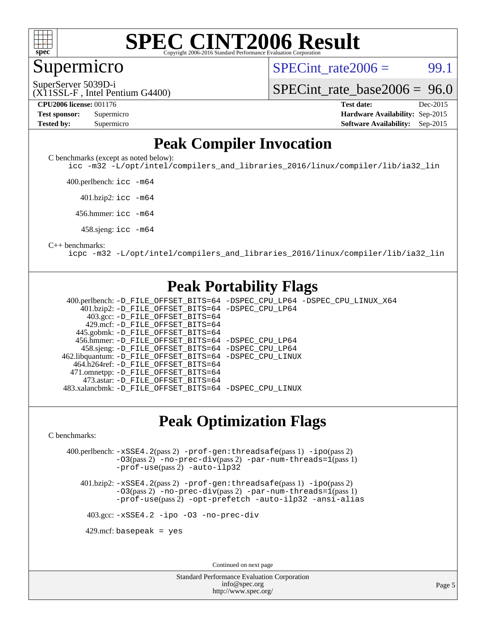

#### Supermicro

 $SPECint rate2006 = 99.1$ 

SuperServer 5039D-i

[SPECint\\_rate\\_base2006 =](http://www.spec.org/auto/cpu2006/Docs/result-fields.html#SPECintratebase2006) 96.0

(X11SSL-F , Intel Pentium G4400)

| <b>Test sponsor:</b> | Supermicro |
|----------------------|------------|
| <b>Tested by:</b>    | Supermicro |

**[CPU2006 license:](http://www.spec.org/auto/cpu2006/Docs/result-fields.html#CPU2006license)** 001176 **[Test date:](http://www.spec.org/auto/cpu2006/Docs/result-fields.html#Testdate)** Dec-2015 **[Hardware Availability:](http://www.spec.org/auto/cpu2006/Docs/result-fields.html#HardwareAvailability)** Sep-2015 **[Software Availability:](http://www.spec.org/auto/cpu2006/Docs/result-fields.html#SoftwareAvailability)** Sep-2015

#### **[Peak Compiler Invocation](http://www.spec.org/auto/cpu2006/Docs/result-fields.html#PeakCompilerInvocation)**

[C benchmarks \(except as noted below\)](http://www.spec.org/auto/cpu2006/Docs/result-fields.html#Cbenchmarksexceptasnotedbelow):

[icc -m32 -L/opt/intel/compilers\\_and\\_libraries\\_2016/linux/compiler/lib/ia32\\_lin](http://www.spec.org/cpu2006/results/res2016q1/cpu2006-20160106-38577.flags.html#user_CCpeak_intel_icc_e10256ba5924b668798078a321b0cb3f)

400.perlbench: [icc -m64](http://www.spec.org/cpu2006/results/res2016q1/cpu2006-20160106-38577.flags.html#user_peakCCLD400_perlbench_intel_icc_64bit_bda6cc9af1fdbb0edc3795bac97ada53)

401.bzip2: [icc -m64](http://www.spec.org/cpu2006/results/res2016q1/cpu2006-20160106-38577.flags.html#user_peakCCLD401_bzip2_intel_icc_64bit_bda6cc9af1fdbb0edc3795bac97ada53)

456.hmmer: [icc -m64](http://www.spec.org/cpu2006/results/res2016q1/cpu2006-20160106-38577.flags.html#user_peakCCLD456_hmmer_intel_icc_64bit_bda6cc9af1fdbb0edc3795bac97ada53)

458.sjeng: [icc -m64](http://www.spec.org/cpu2006/results/res2016q1/cpu2006-20160106-38577.flags.html#user_peakCCLD458_sjeng_intel_icc_64bit_bda6cc9af1fdbb0edc3795bac97ada53)

#### [C++ benchmarks:](http://www.spec.org/auto/cpu2006/Docs/result-fields.html#CXXbenchmarks)

[icpc -m32 -L/opt/intel/compilers\\_and\\_libraries\\_2016/linux/compiler/lib/ia32\\_lin](http://www.spec.org/cpu2006/results/res2016q1/cpu2006-20160106-38577.flags.html#user_CXXpeak_intel_icpc_b4f50a394bdb4597aa5879c16bc3f5c5)

#### **[Peak Portability Flags](http://www.spec.org/auto/cpu2006/Docs/result-fields.html#PeakPortabilityFlags)**

 400.perlbench: [-D\\_FILE\\_OFFSET\\_BITS=64](http://www.spec.org/cpu2006/results/res2016q1/cpu2006-20160106-38577.flags.html#user_peakPORTABILITY400_perlbench_file_offset_bits_64_438cf9856305ebd76870a2c6dc2689ab) [-DSPEC\\_CPU\\_LP64](http://www.spec.org/cpu2006/results/res2016q1/cpu2006-20160106-38577.flags.html#b400.perlbench_peakCPORTABILITY_DSPEC_CPU_LP64) [-DSPEC\\_CPU\\_LINUX\\_X64](http://www.spec.org/cpu2006/results/res2016q1/cpu2006-20160106-38577.flags.html#b400.perlbench_peakCPORTABILITY_DSPEC_CPU_LINUX_X64) 401.bzip2: [-D\\_FILE\\_OFFSET\\_BITS=64](http://www.spec.org/cpu2006/results/res2016q1/cpu2006-20160106-38577.flags.html#user_peakPORTABILITY401_bzip2_file_offset_bits_64_438cf9856305ebd76870a2c6dc2689ab) [-DSPEC\\_CPU\\_LP64](http://www.spec.org/cpu2006/results/res2016q1/cpu2006-20160106-38577.flags.html#suite_peakCPORTABILITY401_bzip2_DSPEC_CPU_LP64) 403.gcc: [-D\\_FILE\\_OFFSET\\_BITS=64](http://www.spec.org/cpu2006/results/res2016q1/cpu2006-20160106-38577.flags.html#user_peakPORTABILITY403_gcc_file_offset_bits_64_438cf9856305ebd76870a2c6dc2689ab) 429.mcf: [-D\\_FILE\\_OFFSET\\_BITS=64](http://www.spec.org/cpu2006/results/res2016q1/cpu2006-20160106-38577.flags.html#user_peakPORTABILITY429_mcf_file_offset_bits_64_438cf9856305ebd76870a2c6dc2689ab) 445.gobmk: [-D\\_FILE\\_OFFSET\\_BITS=64](http://www.spec.org/cpu2006/results/res2016q1/cpu2006-20160106-38577.flags.html#user_peakPORTABILITY445_gobmk_file_offset_bits_64_438cf9856305ebd76870a2c6dc2689ab) 456.hmmer: [-D\\_FILE\\_OFFSET\\_BITS=64](http://www.spec.org/cpu2006/results/res2016q1/cpu2006-20160106-38577.flags.html#user_peakPORTABILITY456_hmmer_file_offset_bits_64_438cf9856305ebd76870a2c6dc2689ab) [-DSPEC\\_CPU\\_LP64](http://www.spec.org/cpu2006/results/res2016q1/cpu2006-20160106-38577.flags.html#suite_peakCPORTABILITY456_hmmer_DSPEC_CPU_LP64) 458.sjeng: [-D\\_FILE\\_OFFSET\\_BITS=64](http://www.spec.org/cpu2006/results/res2016q1/cpu2006-20160106-38577.flags.html#user_peakPORTABILITY458_sjeng_file_offset_bits_64_438cf9856305ebd76870a2c6dc2689ab) [-DSPEC\\_CPU\\_LP64](http://www.spec.org/cpu2006/results/res2016q1/cpu2006-20160106-38577.flags.html#suite_peakCPORTABILITY458_sjeng_DSPEC_CPU_LP64) 462.libquantum: [-D\\_FILE\\_OFFSET\\_BITS=64](http://www.spec.org/cpu2006/results/res2016q1/cpu2006-20160106-38577.flags.html#user_peakPORTABILITY462_libquantum_file_offset_bits_64_438cf9856305ebd76870a2c6dc2689ab) [-DSPEC\\_CPU\\_LINUX](http://www.spec.org/cpu2006/results/res2016q1/cpu2006-20160106-38577.flags.html#b462.libquantum_peakCPORTABILITY_DSPEC_CPU_LINUX) 464.h264ref: [-D\\_FILE\\_OFFSET\\_BITS=64](http://www.spec.org/cpu2006/results/res2016q1/cpu2006-20160106-38577.flags.html#user_peakPORTABILITY464_h264ref_file_offset_bits_64_438cf9856305ebd76870a2c6dc2689ab) 471.omnetpp: [-D\\_FILE\\_OFFSET\\_BITS=64](http://www.spec.org/cpu2006/results/res2016q1/cpu2006-20160106-38577.flags.html#user_peakPORTABILITY471_omnetpp_file_offset_bits_64_438cf9856305ebd76870a2c6dc2689ab) 473.astar: [-D\\_FILE\\_OFFSET\\_BITS=64](http://www.spec.org/cpu2006/results/res2016q1/cpu2006-20160106-38577.flags.html#user_peakPORTABILITY473_astar_file_offset_bits_64_438cf9856305ebd76870a2c6dc2689ab) 483.xalancbmk: [-D\\_FILE\\_OFFSET\\_BITS=64](http://www.spec.org/cpu2006/results/res2016q1/cpu2006-20160106-38577.flags.html#user_peakPORTABILITY483_xalancbmk_file_offset_bits_64_438cf9856305ebd76870a2c6dc2689ab) [-DSPEC\\_CPU\\_LINUX](http://www.spec.org/cpu2006/results/res2016q1/cpu2006-20160106-38577.flags.html#b483.xalancbmk_peakCXXPORTABILITY_DSPEC_CPU_LINUX)

#### **[Peak Optimization Flags](http://www.spec.org/auto/cpu2006/Docs/result-fields.html#PeakOptimizationFlags)**

[C benchmarks](http://www.spec.org/auto/cpu2006/Docs/result-fields.html#Cbenchmarks):

 400.perlbench: [-xSSE4.2](http://www.spec.org/cpu2006/results/res2016q1/cpu2006-20160106-38577.flags.html#user_peakPASS2_CFLAGSPASS2_LDCFLAGS400_perlbench_f-xSSE42_f91528193cf0b216347adb8b939d4107)(pass 2) [-prof-gen:threadsafe](http://www.spec.org/cpu2006/results/res2016q1/cpu2006-20160106-38577.flags.html#user_peakPASS1_CFLAGSPASS1_LDCFLAGS400_perlbench_prof_gen_21a26eb79f378b550acd7bec9fe4467a)(pass 1) [-ipo](http://www.spec.org/cpu2006/results/res2016q1/cpu2006-20160106-38577.flags.html#user_peakPASS2_CFLAGSPASS2_LDCFLAGS400_perlbench_f-ipo)(pass 2) [-O3](http://www.spec.org/cpu2006/results/res2016q1/cpu2006-20160106-38577.flags.html#user_peakPASS2_CFLAGSPASS2_LDCFLAGS400_perlbench_f-O3)(pass 2) [-no-prec-div](http://www.spec.org/cpu2006/results/res2016q1/cpu2006-20160106-38577.flags.html#user_peakPASS2_CFLAGSPASS2_LDCFLAGS400_perlbench_f-no-prec-div)(pass 2) [-par-num-threads=1](http://www.spec.org/cpu2006/results/res2016q1/cpu2006-20160106-38577.flags.html#user_peakPASS1_CFLAGSPASS1_LDCFLAGS400_perlbench_par_num_threads_786a6ff141b4e9e90432e998842df6c2)(pass 1) [-prof-use](http://www.spec.org/cpu2006/results/res2016q1/cpu2006-20160106-38577.flags.html#user_peakPASS2_CFLAGSPASS2_LDCFLAGS400_perlbench_prof_use_bccf7792157ff70d64e32fe3e1250b55)(pass 2) [-auto-ilp32](http://www.spec.org/cpu2006/results/res2016q1/cpu2006-20160106-38577.flags.html#user_peakCOPTIMIZE400_perlbench_f-auto-ilp32)

 401.bzip2: [-xSSE4.2](http://www.spec.org/cpu2006/results/res2016q1/cpu2006-20160106-38577.flags.html#user_peakPASS2_CFLAGSPASS2_LDCFLAGS401_bzip2_f-xSSE42_f91528193cf0b216347adb8b939d4107)(pass 2) [-prof-gen:threadsafe](http://www.spec.org/cpu2006/results/res2016q1/cpu2006-20160106-38577.flags.html#user_peakPASS1_CFLAGSPASS1_LDCFLAGS401_bzip2_prof_gen_21a26eb79f378b550acd7bec9fe4467a)(pass 1) [-ipo](http://www.spec.org/cpu2006/results/res2016q1/cpu2006-20160106-38577.flags.html#user_peakPASS2_CFLAGSPASS2_LDCFLAGS401_bzip2_f-ipo)(pass 2) [-O3](http://www.spec.org/cpu2006/results/res2016q1/cpu2006-20160106-38577.flags.html#user_peakPASS2_CFLAGSPASS2_LDCFLAGS401_bzip2_f-O3)(pass 2) [-no-prec-div](http://www.spec.org/cpu2006/results/res2016q1/cpu2006-20160106-38577.flags.html#user_peakPASS2_CFLAGSPASS2_LDCFLAGS401_bzip2_f-no-prec-div)(pass 2) [-par-num-threads=1](http://www.spec.org/cpu2006/results/res2016q1/cpu2006-20160106-38577.flags.html#user_peakPASS1_CFLAGSPASS1_LDCFLAGS401_bzip2_par_num_threads_786a6ff141b4e9e90432e998842df6c2)(pass 1) [-prof-use](http://www.spec.org/cpu2006/results/res2016q1/cpu2006-20160106-38577.flags.html#user_peakPASS2_CFLAGSPASS2_LDCFLAGS401_bzip2_prof_use_bccf7792157ff70d64e32fe3e1250b55)(pass 2) [-opt-prefetch](http://www.spec.org/cpu2006/results/res2016q1/cpu2006-20160106-38577.flags.html#user_peakCOPTIMIZE401_bzip2_f-opt-prefetch) [-auto-ilp32](http://www.spec.org/cpu2006/results/res2016q1/cpu2006-20160106-38577.flags.html#user_peakCOPTIMIZE401_bzip2_f-auto-ilp32) [-ansi-alias](http://www.spec.org/cpu2006/results/res2016q1/cpu2006-20160106-38577.flags.html#user_peakCOPTIMIZE401_bzip2_f-ansi-alias)

403.gcc: [-xSSE4.2](http://www.spec.org/cpu2006/results/res2016q1/cpu2006-20160106-38577.flags.html#user_peakCOPTIMIZE403_gcc_f-xSSE42_f91528193cf0b216347adb8b939d4107) [-ipo](http://www.spec.org/cpu2006/results/res2016q1/cpu2006-20160106-38577.flags.html#user_peakCOPTIMIZE403_gcc_f-ipo) [-O3](http://www.spec.org/cpu2006/results/res2016q1/cpu2006-20160106-38577.flags.html#user_peakCOPTIMIZE403_gcc_f-O3) [-no-prec-div](http://www.spec.org/cpu2006/results/res2016q1/cpu2006-20160106-38577.flags.html#user_peakCOPTIMIZE403_gcc_f-no-prec-div)

 $429$ .mcf: basepeak = yes

Continued on next page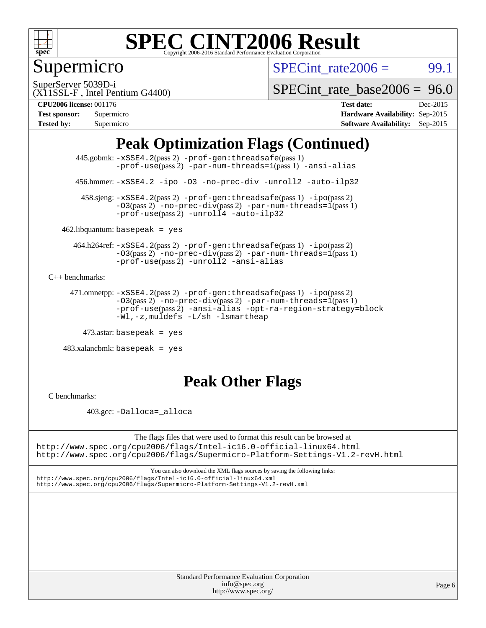

### Supermicro

SPECint rate $2006 = 99.1$ 

SuperServer 5039D-i

[SPECint\\_rate\\_base2006 =](http://www.spec.org/auto/cpu2006/Docs/result-fields.html#SPECintratebase2006) 96.0

(X11SSL-F , Intel Pentium G4400) **[CPU2006 license:](http://www.spec.org/auto/cpu2006/Docs/result-fields.html#CPU2006license)** 001176 **[Test date:](http://www.spec.org/auto/cpu2006/Docs/result-fields.html#Testdate)** Dec-2015

| <b>Test sponsor:</b> | Supermicro |
|----------------------|------------|
| <b>Tested by:</b>    | Supermicro |

**[Hardware Availability:](http://www.spec.org/auto/cpu2006/Docs/result-fields.html#HardwareAvailability)** Sep-2015 **[Software Availability:](http://www.spec.org/auto/cpu2006/Docs/result-fields.html#SoftwareAvailability)** Sep-2015

### **[Peak Optimization Flags \(Continued\)](http://www.spec.org/auto/cpu2006/Docs/result-fields.html#PeakOptimizationFlags)**

 445.gobmk: [-xSSE4.2](http://www.spec.org/cpu2006/results/res2016q1/cpu2006-20160106-38577.flags.html#user_peakPASS2_CFLAGSPASS2_LDCFLAGS445_gobmk_f-xSSE42_f91528193cf0b216347adb8b939d4107)(pass 2) [-prof-gen:threadsafe](http://www.spec.org/cpu2006/results/res2016q1/cpu2006-20160106-38577.flags.html#user_peakPASS1_CFLAGSPASS1_LDCFLAGS445_gobmk_prof_gen_21a26eb79f378b550acd7bec9fe4467a)(pass 1) [-prof-use](http://www.spec.org/cpu2006/results/res2016q1/cpu2006-20160106-38577.flags.html#user_peakPASS2_CFLAGSPASS2_LDCFLAGS445_gobmk_prof_use_bccf7792157ff70d64e32fe3e1250b55)(pass2) [-par-num-threads=1](http://www.spec.org/cpu2006/results/res2016q1/cpu2006-20160106-38577.flags.html#user_peakPASS1_CFLAGSPASS1_LDCFLAGS445_gobmk_par_num_threads_786a6ff141b4e9e90432e998842df6c2)(pass1) [-ansi-alias](http://www.spec.org/cpu2006/results/res2016q1/cpu2006-20160106-38577.flags.html#user_peakCOPTIMIZE445_gobmk_f-ansi-alias)

456.hmmer: [-xSSE4.2](http://www.spec.org/cpu2006/results/res2016q1/cpu2006-20160106-38577.flags.html#user_peakCOPTIMIZE456_hmmer_f-xSSE42_f91528193cf0b216347adb8b939d4107) [-ipo](http://www.spec.org/cpu2006/results/res2016q1/cpu2006-20160106-38577.flags.html#user_peakCOPTIMIZE456_hmmer_f-ipo) [-O3](http://www.spec.org/cpu2006/results/res2016q1/cpu2006-20160106-38577.flags.html#user_peakCOPTIMIZE456_hmmer_f-O3) [-no-prec-div](http://www.spec.org/cpu2006/results/res2016q1/cpu2006-20160106-38577.flags.html#user_peakCOPTIMIZE456_hmmer_f-no-prec-div) [-unroll2](http://www.spec.org/cpu2006/results/res2016q1/cpu2006-20160106-38577.flags.html#user_peakCOPTIMIZE456_hmmer_f-unroll_784dae83bebfb236979b41d2422d7ec2) [-auto-ilp32](http://www.spec.org/cpu2006/results/res2016q1/cpu2006-20160106-38577.flags.html#user_peakCOPTIMIZE456_hmmer_f-auto-ilp32)

 458.sjeng: [-xSSE4.2](http://www.spec.org/cpu2006/results/res2016q1/cpu2006-20160106-38577.flags.html#user_peakPASS2_CFLAGSPASS2_LDCFLAGS458_sjeng_f-xSSE42_f91528193cf0b216347adb8b939d4107)(pass 2) [-prof-gen:threadsafe](http://www.spec.org/cpu2006/results/res2016q1/cpu2006-20160106-38577.flags.html#user_peakPASS1_CFLAGSPASS1_LDCFLAGS458_sjeng_prof_gen_21a26eb79f378b550acd7bec9fe4467a)(pass 1) [-ipo](http://www.spec.org/cpu2006/results/res2016q1/cpu2006-20160106-38577.flags.html#user_peakPASS2_CFLAGSPASS2_LDCFLAGS458_sjeng_f-ipo)(pass 2) [-O3](http://www.spec.org/cpu2006/results/res2016q1/cpu2006-20160106-38577.flags.html#user_peakPASS2_CFLAGSPASS2_LDCFLAGS458_sjeng_f-O3)(pass 2) [-no-prec-div](http://www.spec.org/cpu2006/results/res2016q1/cpu2006-20160106-38577.flags.html#user_peakPASS2_CFLAGSPASS2_LDCFLAGS458_sjeng_f-no-prec-div)(pass 2) [-par-num-threads=1](http://www.spec.org/cpu2006/results/res2016q1/cpu2006-20160106-38577.flags.html#user_peakPASS1_CFLAGSPASS1_LDCFLAGS458_sjeng_par_num_threads_786a6ff141b4e9e90432e998842df6c2)(pass 1)  $-prof$ -use(pass 2) [-unroll4](http://www.spec.org/cpu2006/results/res2016q1/cpu2006-20160106-38577.flags.html#user_peakCOPTIMIZE458_sjeng_f-unroll_4e5e4ed65b7fd20bdcd365bec371b81f) [-auto-ilp32](http://www.spec.org/cpu2006/results/res2016q1/cpu2006-20160106-38577.flags.html#user_peakCOPTIMIZE458_sjeng_f-auto-ilp32)

 $462$ .libquantum: basepeak = yes

 464.h264ref: [-xSSE4.2](http://www.spec.org/cpu2006/results/res2016q1/cpu2006-20160106-38577.flags.html#user_peakPASS2_CFLAGSPASS2_LDCFLAGS464_h264ref_f-xSSE42_f91528193cf0b216347adb8b939d4107)(pass 2) [-prof-gen:threadsafe](http://www.spec.org/cpu2006/results/res2016q1/cpu2006-20160106-38577.flags.html#user_peakPASS1_CFLAGSPASS1_LDCFLAGS464_h264ref_prof_gen_21a26eb79f378b550acd7bec9fe4467a)(pass 1) [-ipo](http://www.spec.org/cpu2006/results/res2016q1/cpu2006-20160106-38577.flags.html#user_peakPASS2_CFLAGSPASS2_LDCFLAGS464_h264ref_f-ipo)(pass 2)  $-03(pass 2)$  [-no-prec-div](http://www.spec.org/cpu2006/results/res2016q1/cpu2006-20160106-38577.flags.html#user_peakPASS2_CFLAGSPASS2_LDCFLAGS464_h264ref_f-no-prec-div)(pass 2) [-par-num-threads=1](http://www.spec.org/cpu2006/results/res2016q1/cpu2006-20160106-38577.flags.html#user_peakPASS1_CFLAGSPASS1_LDCFLAGS464_h264ref_par_num_threads_786a6ff141b4e9e90432e998842df6c2)(pass 1) [-prof-use](http://www.spec.org/cpu2006/results/res2016q1/cpu2006-20160106-38577.flags.html#user_peakPASS2_CFLAGSPASS2_LDCFLAGS464_h264ref_prof_use_bccf7792157ff70d64e32fe3e1250b55)(pass 2) [-unroll2](http://www.spec.org/cpu2006/results/res2016q1/cpu2006-20160106-38577.flags.html#user_peakCOPTIMIZE464_h264ref_f-unroll_784dae83bebfb236979b41d2422d7ec2) [-ansi-alias](http://www.spec.org/cpu2006/results/res2016q1/cpu2006-20160106-38577.flags.html#user_peakCOPTIMIZE464_h264ref_f-ansi-alias)

[C++ benchmarks:](http://www.spec.org/auto/cpu2006/Docs/result-fields.html#CXXbenchmarks)

```
 471.omnetpp: -xSSE4.2(pass 2) -prof-gen:threadsafe(pass 1) -ipo(pass 2)
-O3(pass 2) -no-prec-div(pass 2) -par-num-threads=1(pass 1)
-prof-use(pass 2) -ansi-alias -opt-ra-region-strategy=block
-Wl,-z,muldefs -L/sh -lsmartheap
```
473.astar: basepeak = yes

 $483.xalanchmk: basepeak = yes$ 

#### **[Peak Other Flags](http://www.spec.org/auto/cpu2006/Docs/result-fields.html#PeakOtherFlags)**

[C benchmarks](http://www.spec.org/auto/cpu2006/Docs/result-fields.html#Cbenchmarks):

403.gcc: [-Dalloca=\\_alloca](http://www.spec.org/cpu2006/results/res2016q1/cpu2006-20160106-38577.flags.html#b403.gcc_peakEXTRA_CFLAGS_Dalloca_be3056838c12de2578596ca5467af7f3)

The flags files that were used to format this result can be browsed at <http://www.spec.org/cpu2006/flags/Intel-ic16.0-official-linux64.html> <http://www.spec.org/cpu2006/flags/Supermicro-Platform-Settings-V1.2-revH.html>

You can also download the XML flags sources by saving the following links: <http://www.spec.org/cpu2006/flags/Intel-ic16.0-official-linux64.xml>

<http://www.spec.org/cpu2006/flags/Supermicro-Platform-Settings-V1.2-revH.xml>